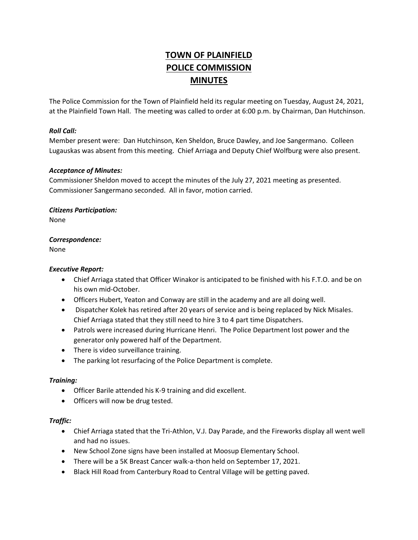# **TOWN OF PLAINFIELD POLICE COMMISSION MINUTES**

The Police Commission for the Town of Plainfield held its regular meeting on Tuesday, August 24, 2021, at the Plainfield Town Hall. The meeting was called to order at 6:00 p.m. by Chairman, Dan Hutchinson.

# *Roll Call:*

Member present were: Dan Hutchinson, Ken Sheldon, Bruce Dawley, and Joe Sangermano. Colleen Lugauskas was absent from this meeting. Chief Arriaga and Deputy Chief Wolfburg were also present.

## *Acceptance of Minutes:*

Commissioner Sheldon moved to accept the minutes of the July 27, 2021 meeting as presented. Commissioner Sangermano seconded. All in favor, motion carried.

## *Citizens Participation:*

None

# *Correspondence:*

None

## *Executive Report:*

- Chief Arriaga stated that Officer Winakor is anticipated to be finished with his F.T.O. and be on his own mid-October.
- Officers Hubert, Yeaton and Conway are still in the academy and are all doing well.
- Dispatcher Kolek has retired after 20 years of service and is being replaced by Nick Misales. Chief Arriaga stated that they still need to hire 3 to 4 part time Dispatchers.
- Patrols were increased during Hurricane Henri. The Police Department lost power and the generator only powered half of the Department.
- There is video surveillance training.
- The parking lot resurfacing of the Police Department is complete.

# *Training:*

- Officer Barile attended his K-9 training and did excellent.
- Officers will now be drug tested.

## *Traffic:*

- Chief Arriaga stated that the Tri-Athlon, V.J. Day Parade, and the Fireworks display all went well and had no issues.
- New School Zone signs have been installed at Moosup Elementary School.
- There will be a 5K Breast Cancer walk-a-thon held on September 17, 2021.
- Black Hill Road from Canterbury Road to Central Village will be getting paved.